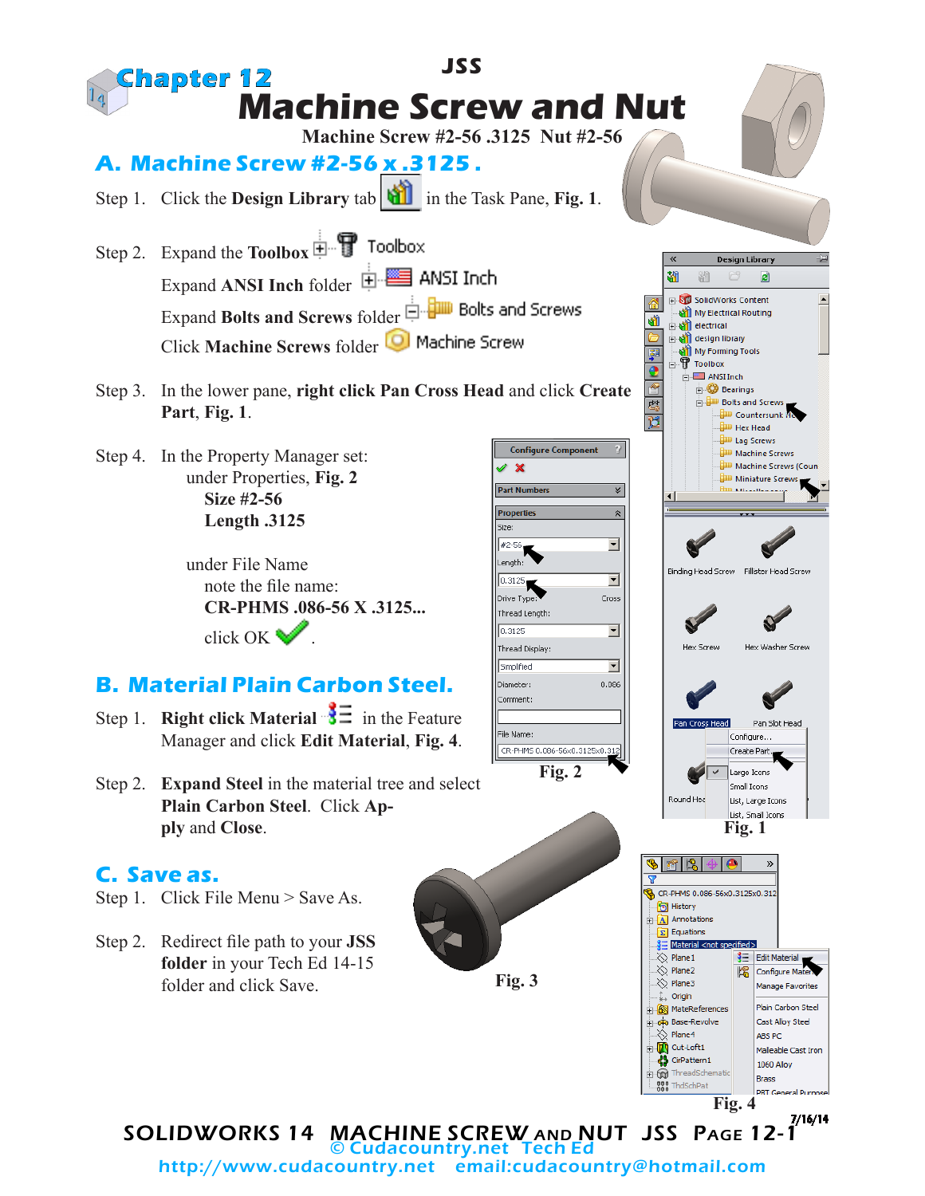

http://www.cudacountry.net email:cudacountry@hotmail.com